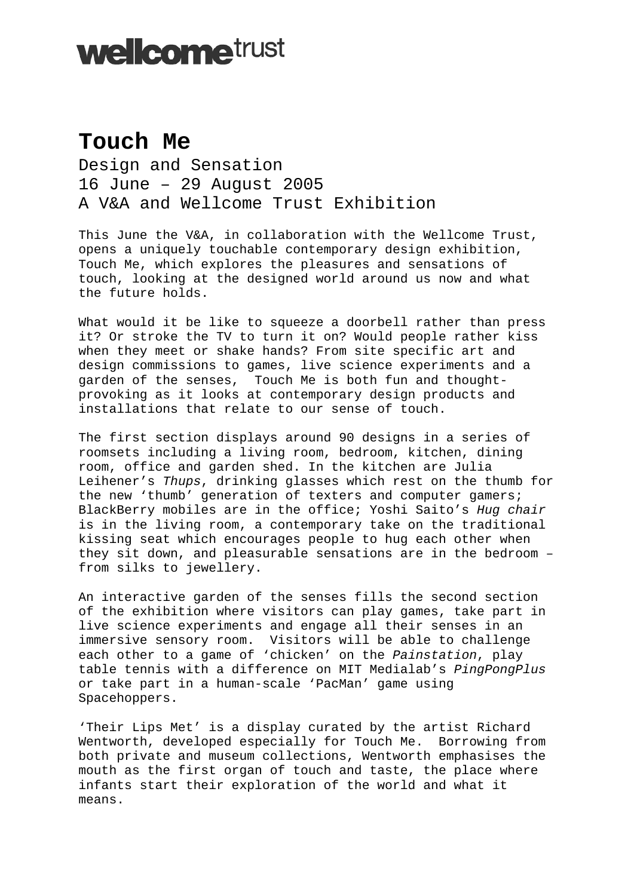## **wellcometrust**

## **Touch Me**

Design and Sensation 16 June – 29 August 2005 A V&A and Wellcome Trust Exhibition

This June the V&A, in collaboration with the Wellcome Trust, opens a uniquely touchable contemporary design exhibition, Touch Me, which explores the pleasures and sensations of touch, looking at the designed world around us now and what the future holds.

What would it be like to squeeze a doorbell rather than press it? Or stroke the TV to turn it on? Would people rather kiss when they meet or shake hands? From site specific art and design commissions to games, live science experiments and a garden of the senses, Touch Me is both fun and thoughtprovoking as it looks at contemporary design products and installations that relate to our sense of touch.

The first section displays around 90 designs in a series of roomsets including a living room, bedroom, kitchen, dining room, office and garden shed. In the kitchen are Julia Leihener's *Thups*, drinking glasses which rest on the thumb for the new 'thumb' generation of texters and computer gamers; BlackBerry mobiles are in the office; Yoshi Saito's *Hug chair*  is in the living room, a contemporary take on the traditional kissing seat which encourages people to hug each other when they sit down, and pleasurable sensations are in the bedroom – from silks to jewellery.

An interactive garden of the senses fills the second section of the exhibition where visitors can play games, take part in live science experiments and engage all their senses in an immersive sensory room. Visitors will be able to challenge each other to a game of 'chicken' on the *Painstation*, play table tennis with a difference on MIT Medialab's *PingPongPlus* or take part in a human-scale 'PacMan' game using Spacehoppers.

'Their Lips Met' is a display curated by the artist Richard Wentworth, developed especially for Touch Me. Borrowing from both private and museum collections, Wentworth emphasises the mouth as the first organ of touch and taste, the place where infants start their exploration of the world and what it means.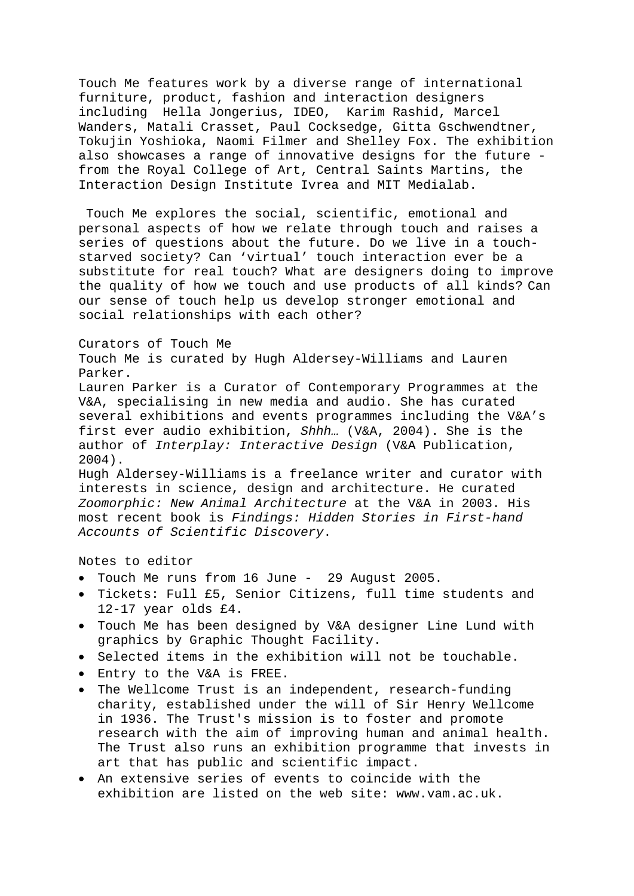Touch Me features work by a diverse range of international furniture, product, fashion and interaction designers including Hella Jongerius, IDEO, Karim Rashid, Marcel Wanders, Matali Crasset, Paul Cocksedge, Gitta Gschwendtner, Tokujin Yoshioka, Naomi Filmer and Shelley Fox. The exhibition also showcases a range of innovative designs for the future from the Royal College of Art, Central Saints Martins, the Interaction Design Institute Ivrea and MIT Medialab.

 Touch Me explores the social, scientific, emotional and personal aspects of how we relate through touch and raises a series of questions about the future. Do we live in a touchstarved society? Can 'virtual' touch interaction ever be a substitute for real touch? What are designers doing to improve the quality of how we touch and use products of all kinds? Can our sense of touch help us develop stronger emotional and social relationships with each other?

## Curators of Touch Me

Touch Me is curated by Hugh Aldersey-Williams and Lauren Parker.

Lauren Parker is a Curator of Contemporary Programmes at the V&A, specialising in new media and audio. She has curated several exhibitions and events programmes including the V&A's first ever audio exhibition, *Shhh…* (V&A, 2004). She is the author of *Interplay: Interactive Design* (V&A Publication, 2004).

Hugh Aldersey-Williams is a freelance writer and curator with interests in science, design and architecture. He curated *Zoomorphic: New Animal Architecture* at the V&A in 2003. His most recent book is *Findings: Hidden Stories in First-hand Accounts of Scientific Discovery*.

## Notes to editor

- Touch Me runs from 16 June 29 August 2005.
- Tickets: Full £5, Senior Citizens, full time students and 12-17 year olds £4.
- Touch Me has been designed by V&A designer Line Lund with graphics by Graphic Thought Facility.
- Selected items in the exhibition will not be touchable.
- Entry to the V&A is FREE.
- The Wellcome Trust is an independent, research-funding charity, established under the will of Sir Henry Wellcome in 1936. The Trust's mission is to foster and promote research with the aim of improving human and animal health. The Trust also runs an exhibition programme that invests in art that has public and scientific impact.
- An extensive series of events to coincide with the exhibition are listed on the web site: www.vam.ac.uk.